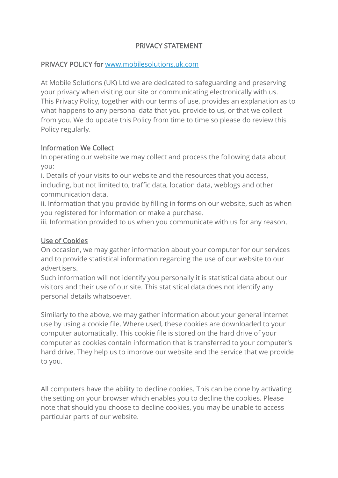# PRIVACY STATEMENT

#### PRIVACY POLICY for [www.mobilesolutions.uk.com](http://www.mobilesolutions.uk.com/)

At Mobile Solutions (UK) Ltd we are dedicated to safeguarding and preserving your privacy when visiting our site or communicating electronically with us. This Privacy Policy, together with our terms of use, provides an explanation as to what happens to any personal data that you provide to us, or that we collect from you. We do update this Policy from time to time so please do review this Policy regularly.

## Information We Collect

In operating our website we may collect and process the following data about you:

i. Details of your visits to our website and the resources that you access, including, but not limited to, traffic data, location data, weblogs and other communication data.

ii. Information that you provide by filling in forms on our website, such as when you registered for information or make a purchase.

iii. Information provided to us when you communicate with us for any reason.

#### Use of Cookies

On occasion, we may gather information about your computer for our services and to provide statistical information regarding the use of our website to our advertisers.

Such information will not identify you personally it is statistical data about our visitors and their use of our site. This statistical data does not identify any personal details whatsoever.

Similarly to the above, we may gather information about your general internet use by using a cookie file. Where used, these cookies are downloaded to your computer automatically. This cookie file is stored on the hard drive of your computer as cookies contain information that is transferred to your computer's hard drive. They help us to improve our website and the service that we provide to you.

All computers have the ability to decline cookies. This can be done by activating the setting on your browser which enables you to decline the cookies. Please note that should you choose to decline cookies, you may be unable to access particular parts of our website.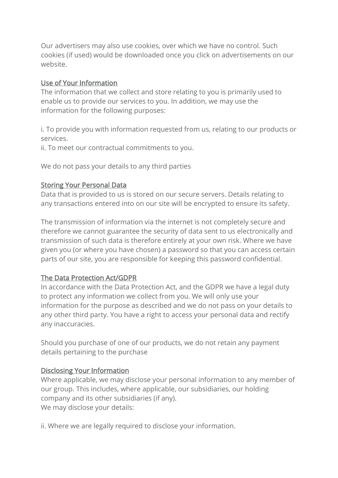Our advertisers may also use cookies, over which we have no control. Such cookies (if used) would be downloaded once you click on advertisements on our website.

## Use of Your Information

The information that we collect and store relating to you is primarily used to enable us to provide our services to you. In addition, we may use the information for the following purposes:

i. To provide you with information requested from us, relating to our products or services.

ii. To meet our contractual commitments to you.

We do not pass your details to any third parties

# Storing Your Personal Data

Data that is provided to us is stored on our secure servers. Details relating to any transactions entered into on our site will be encrypted to ensure its safety.

The transmission of information via the internet is not completely secure and therefore we cannot guarantee the security of data sent to us electronically and transmission of such data is therefore entirely at your own risk. Where we have given you (or where you have chosen) a password so that you can access certain parts of our site, you are responsible for keeping this password confidential.

# The Data Protection Act/GDPR

In accordance with the Data Protection Act, and the GDPR we have a legal duty to protect any information we collect from you. We will only use your information for the purpose as described and we do not pass on your details to any other third party. You have a right to access your personal data and rectify any inaccuracies.

Should you purchase of one of our products, we do not retain any payment details pertaining to the purchase

# Disclosing Your Information

Where applicable, we may disclose your personal information to any member of our group. This includes, where applicable, our subsidiaries, our holding company and its other subsidiaries (if any). We may disclose your details:

ii. Where we are legally required to disclose your information.